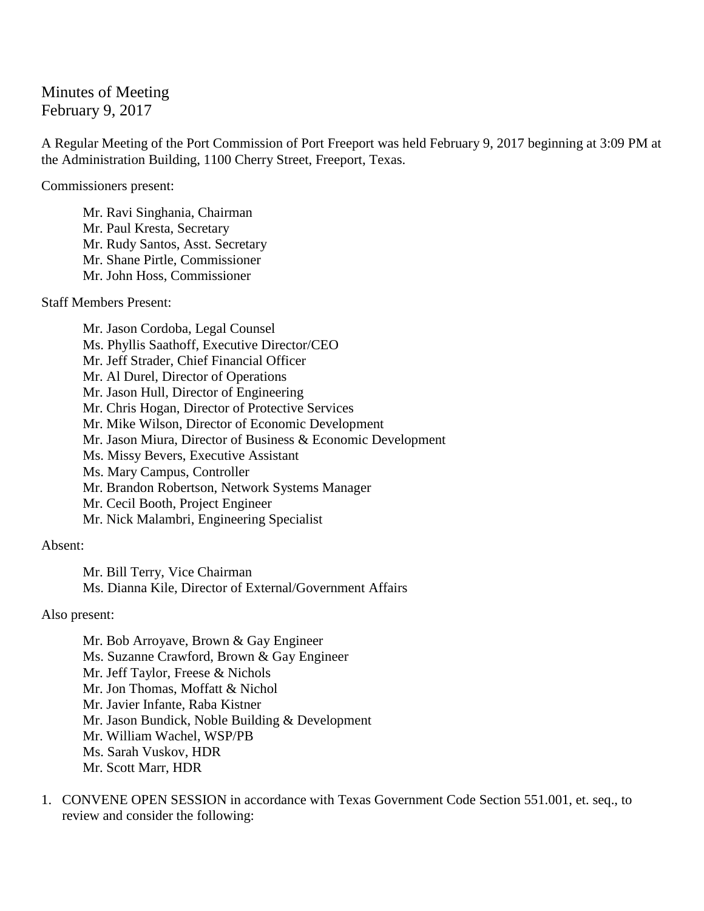## Minutes of Meeting February 9, 2017

A Regular Meeting of the Port Commission of Port Freeport was held February 9, 2017 beginning at 3:09 PM at the Administration Building, 1100 Cherry Street, Freeport, Texas.

Commissioners present:

Mr. Ravi Singhania, Chairman Mr. Paul Kresta, Secretary Mr. Rudy Santos, Asst. Secretary Mr. Shane Pirtle, Commissioner Mr. John Hoss, Commissioner

Staff Members Present:

Mr. Jason Cordoba, Legal Counsel Ms. Phyllis Saathoff, Executive Director/CEO Mr. Jeff Strader, Chief Financial Officer Mr. Al Durel, Director of Operations Mr. Jason Hull, Director of Engineering Mr. Chris Hogan, Director of Protective Services Mr. Mike Wilson, Director of Economic Development Mr. Jason Miura, Director of Business & Economic Development Ms. Missy Bevers, Executive Assistant Ms. Mary Campus, Controller Mr. Brandon Robertson, Network Systems Manager Mr. Cecil Booth, Project Engineer Mr. Nick Malambri, Engineering Specialist

## Absent:

Mr. Bill Terry, Vice Chairman Ms. Dianna Kile, Director of External/Government Affairs

Also present:

Mr. Bob Arroyave, Brown & Gay Engineer Ms. Suzanne Crawford, Brown & Gay Engineer Mr. Jeff Taylor, Freese & Nichols Mr. Jon Thomas, Moffatt & Nichol Mr. Javier Infante, Raba Kistner Mr. Jason Bundick, Noble Building & Development Mr. William Wachel, WSP/PB Ms. Sarah Vuskov, HDR Mr. Scott Marr, HDR

1. CONVENE OPEN SESSION in accordance with Texas Government Code Section 551.001, et. seq., to review and consider the following: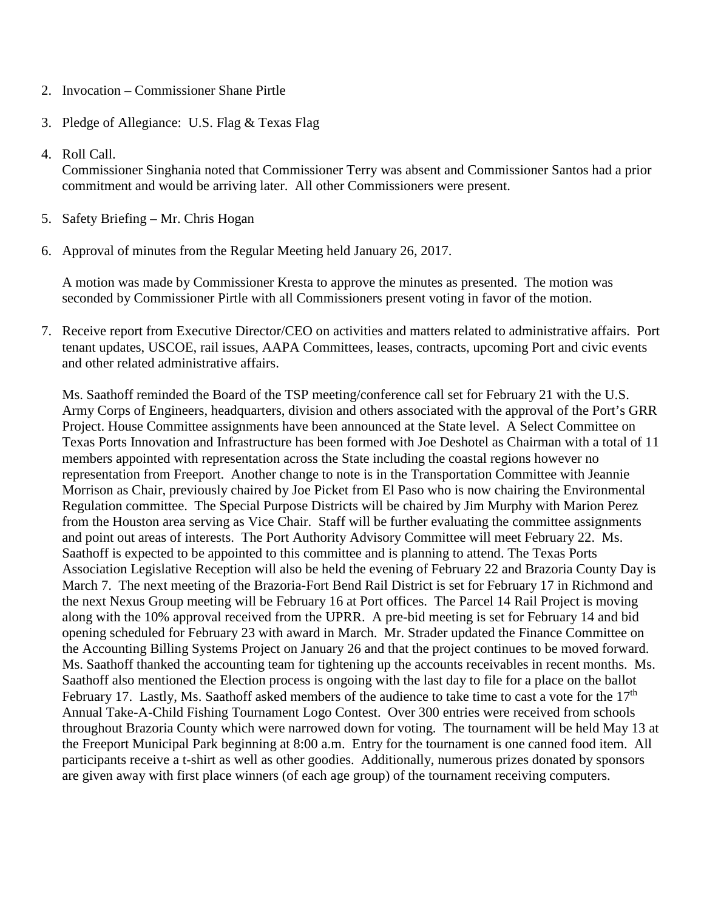- 2. Invocation Commissioner Shane Pirtle
- 3. Pledge of Allegiance: U.S. Flag & Texas Flag
- 4. Roll Call.

Commissioner Singhania noted that Commissioner Terry was absent and Commissioner Santos had a prior commitment and would be arriving later. All other Commissioners were present.

- 5. Safety Briefing Mr. Chris Hogan
- 6. Approval of minutes from the Regular Meeting held January 26, 2017.

A motion was made by Commissioner Kresta to approve the minutes as presented. The motion was seconded by Commissioner Pirtle with all Commissioners present voting in favor of the motion.

7. Receive report from Executive Director/CEO on activities and matters related to administrative affairs. Port tenant updates, USCOE, rail issues, AAPA Committees, leases, contracts, upcoming Port and civic events and other related administrative affairs.

Ms. Saathoff reminded the Board of the TSP meeting/conference call set for February 21 with the U.S. Army Corps of Engineers, headquarters, division and others associated with the approval of the Port's GRR Project. House Committee assignments have been announced at the State level. A Select Committee on Texas Ports Innovation and Infrastructure has been formed with Joe Deshotel as Chairman with a total of 11 members appointed with representation across the State including the coastal regions however no representation from Freeport. Another change to note is in the Transportation Committee with Jeannie Morrison as Chair, previously chaired by Joe Picket from El Paso who is now chairing the Environmental Regulation committee. The Special Purpose Districts will be chaired by Jim Murphy with Marion Perez from the Houston area serving as Vice Chair. Staff will be further evaluating the committee assignments and point out areas of interests. The Port Authority Advisory Committee will meet February 22. Ms. Saathoff is expected to be appointed to this committee and is planning to attend. The Texas Ports Association Legislative Reception will also be held the evening of February 22 and Brazoria County Day is March 7. The next meeting of the Brazoria-Fort Bend Rail District is set for February 17 in Richmond and the next Nexus Group meeting will be February 16 at Port offices. The Parcel 14 Rail Project is moving along with the 10% approval received from the UPRR. A pre-bid meeting is set for February 14 and bid opening scheduled for February 23 with award in March. Mr. Strader updated the Finance Committee on the Accounting Billing Systems Project on January 26 and that the project continues to be moved forward. Ms. Saathoff thanked the accounting team for tightening up the accounts receivables in recent months. Ms. Saathoff also mentioned the Election process is ongoing with the last day to file for a place on the ballot February 17. Lastly, Ms. Saathoff asked members of the audience to take time to cast a vote for the  $17<sup>th</sup>$ Annual Take-A-Child Fishing Tournament Logo Contest. Over 300 entries were received from schools throughout Brazoria County which were narrowed down for voting. The tournament will be held May 13 at the Freeport Municipal Park beginning at 8:00 a.m. Entry for the tournament is one canned food item. All participants receive a t-shirt as well as other goodies. Additionally, numerous prizes donated by sponsors are given away with first place winners (of each age group) of the tournament receiving computers.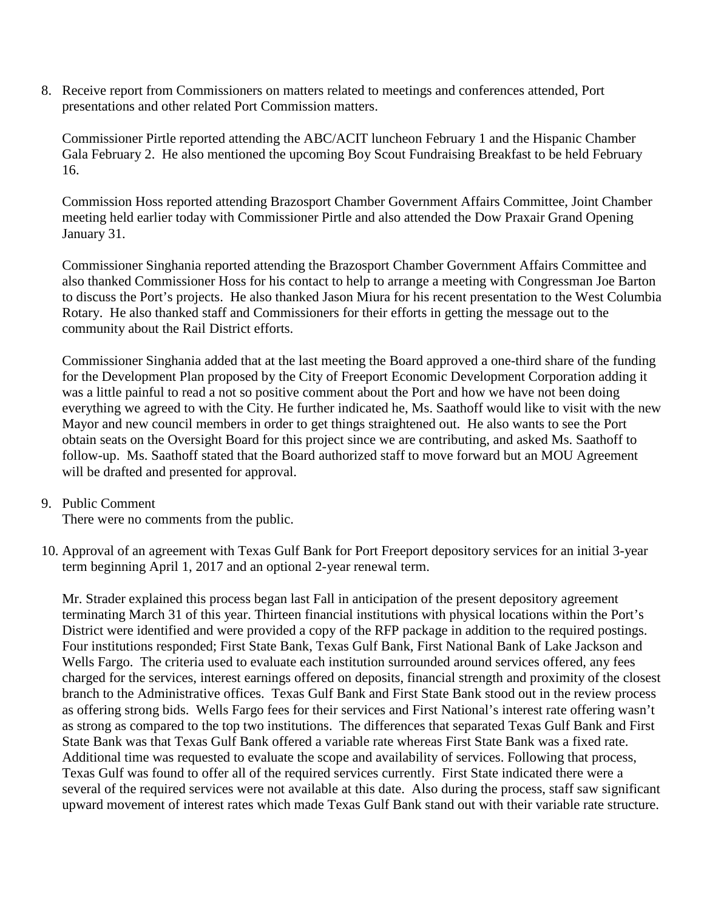8. Receive report from Commissioners on matters related to meetings and conferences attended, Port presentations and other related Port Commission matters.

Commissioner Pirtle reported attending the ABC/ACIT luncheon February 1 and the Hispanic Chamber Gala February 2. He also mentioned the upcoming Boy Scout Fundraising Breakfast to be held February 16.

Commission Hoss reported attending Brazosport Chamber Government Affairs Committee, Joint Chamber meeting held earlier today with Commissioner Pirtle and also attended the Dow Praxair Grand Opening January 31.

Commissioner Singhania reported attending the Brazosport Chamber Government Affairs Committee and also thanked Commissioner Hoss for his contact to help to arrange a meeting with Congressman Joe Barton to discuss the Port's projects. He also thanked Jason Miura for his recent presentation to the West Columbia Rotary. He also thanked staff and Commissioners for their efforts in getting the message out to the community about the Rail District efforts.

Commissioner Singhania added that at the last meeting the Board approved a one-third share of the funding for the Development Plan proposed by the City of Freeport Economic Development Corporation adding it was a little painful to read a not so positive comment about the Port and how we have not been doing everything we agreed to with the City. He further indicated he, Ms. Saathoff would like to visit with the new Mayor and new council members in order to get things straightened out. He also wants to see the Port obtain seats on the Oversight Board for this project since we are contributing, and asked Ms. Saathoff to follow-up. Ms. Saathoff stated that the Board authorized staff to move forward but an MOU Agreement will be drafted and presented for approval.

## 9. Public Comment

There were no comments from the public.

10. Approval of an agreement with Texas Gulf Bank for Port Freeport depository services for an initial 3-year term beginning April 1, 2017 and an optional 2-year renewal term.

Mr. Strader explained this process began last Fall in anticipation of the present depository agreement terminating March 31 of this year. Thirteen financial institutions with physical locations within the Port's District were identified and were provided a copy of the RFP package in addition to the required postings. Four institutions responded; First State Bank, Texas Gulf Bank, First National Bank of Lake Jackson and Wells Fargo. The criteria used to evaluate each institution surrounded around services offered, any fees charged for the services, interest earnings offered on deposits, financial strength and proximity of the closest branch to the Administrative offices. Texas Gulf Bank and First State Bank stood out in the review process as offering strong bids. Wells Fargo fees for their services and First National's interest rate offering wasn't as strong as compared to the top two institutions. The differences that separated Texas Gulf Bank and First State Bank was that Texas Gulf Bank offered a variable rate whereas First State Bank was a fixed rate. Additional time was requested to evaluate the scope and availability of services. Following that process, Texas Gulf was found to offer all of the required services currently. First State indicated there were a several of the required services were not available at this date. Also during the process, staff saw significant upward movement of interest rates which made Texas Gulf Bank stand out with their variable rate structure.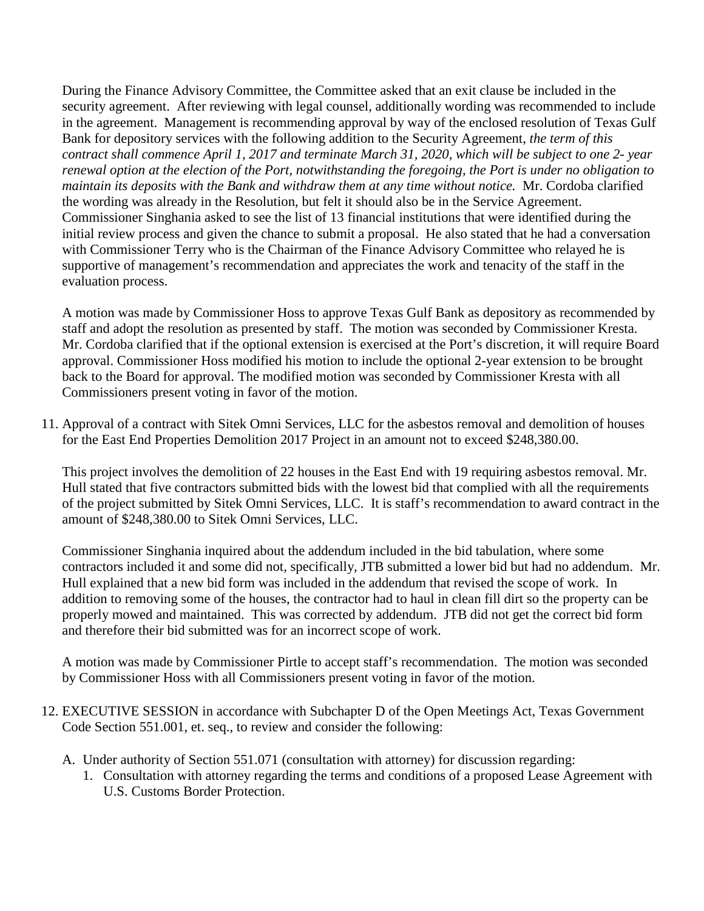During the Finance Advisory Committee, the Committee asked that an exit clause be included in the security agreement. After reviewing with legal counsel, additionally wording was recommended to include in the agreement. Management is recommending approval by way of the enclosed resolution of Texas Gulf Bank for depository services with the following addition to the Security Agreement, *the term of this contract shall commence April 1, 2017 and terminate March 31, 2020, which will be subject to one 2- year renewal option at the election of the Port, notwithstanding the foregoing, the Port is under no obligation to maintain its deposits with the Bank and withdraw them at any time without notice.* Mr. Cordoba clarified the wording was already in the Resolution, but felt it should also be in the Service Agreement. Commissioner Singhania asked to see the list of 13 financial institutions that were identified during the initial review process and given the chance to submit a proposal. He also stated that he had a conversation with Commissioner Terry who is the Chairman of the Finance Advisory Committee who relayed he is supportive of management's recommendation and appreciates the work and tenacity of the staff in the evaluation process.

A motion was made by Commissioner Hoss to approve Texas Gulf Bank as depository as recommended by staff and adopt the resolution as presented by staff. The motion was seconded by Commissioner Kresta. Mr. Cordoba clarified that if the optional extension is exercised at the Port's discretion, it will require Board approval. Commissioner Hoss modified his motion to include the optional 2-year extension to be brought back to the Board for approval. The modified motion was seconded by Commissioner Kresta with all Commissioners present voting in favor of the motion.

11. Approval of a contract with Sitek Omni Services, LLC for the asbestos removal and demolition of houses for the East End Properties Demolition 2017 Project in an amount not to exceed \$248,380.00.

This project involves the demolition of 22 houses in the East End with 19 requiring asbestos removal. Mr. Hull stated that five contractors submitted bids with the lowest bid that complied with all the requirements of the project submitted by Sitek Omni Services, LLC. It is staff's recommendation to award contract in the amount of \$248,380.00 to Sitek Omni Services, LLC.

Commissioner Singhania inquired about the addendum included in the bid tabulation, where some contractors included it and some did not, specifically, JTB submitted a lower bid but had no addendum. Mr. Hull explained that a new bid form was included in the addendum that revised the scope of work. In addition to removing some of the houses, the contractor had to haul in clean fill dirt so the property can be properly mowed and maintained. This was corrected by addendum. JTB did not get the correct bid form and therefore their bid submitted was for an incorrect scope of work.

A motion was made by Commissioner Pirtle to accept staff's recommendation. The motion was seconded by Commissioner Hoss with all Commissioners present voting in favor of the motion.

- 12. EXECUTIVE SESSION in accordance with Subchapter D of the Open Meetings Act, Texas Government Code Section 551.001, et. seq., to review and consider the following:
	- A. Under authority of Section 551.071 (consultation with attorney) for discussion regarding:
		- 1. Consultation with attorney regarding the terms and conditions of a proposed Lease Agreement with U.S. Customs Border Protection.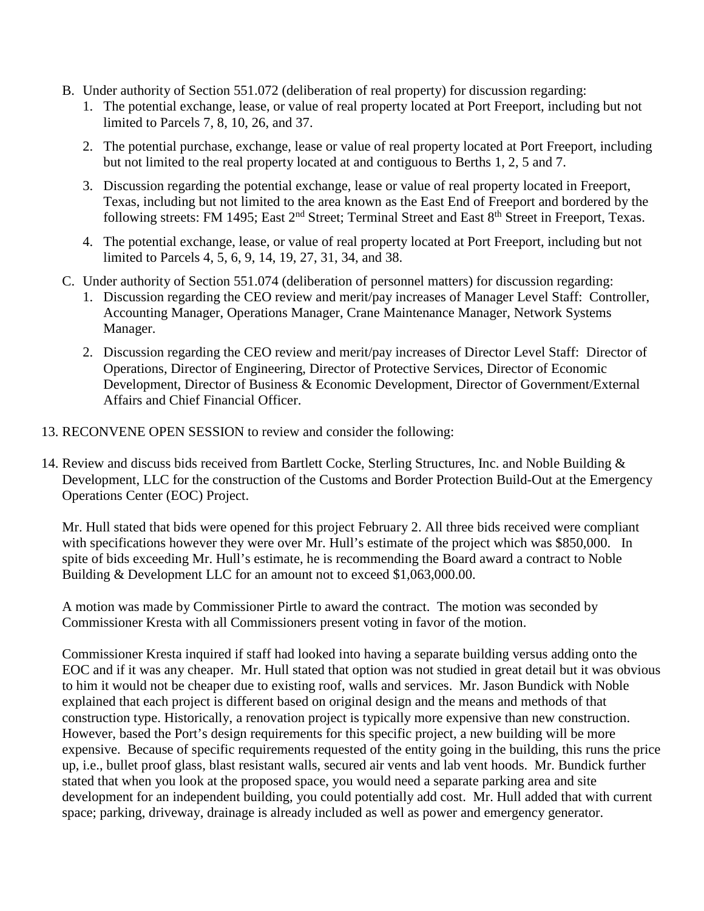- B. Under authority of Section 551.072 (deliberation of real property) for discussion regarding:
	- 1. The potential exchange, lease, or value of real property located at Port Freeport, including but not limited to Parcels 7, 8, 10, 26, and 37.
	- 2. The potential purchase, exchange, lease or value of real property located at Port Freeport, including but not limited to the real property located at and contiguous to Berths 1, 2, 5 and 7.
	- 3. Discussion regarding the potential exchange, lease or value of real property located in Freeport, Texas, including but not limited to the area known as the East End of Freeport and bordered by the following streets: FM 1495; East 2<sup>nd</sup> Street; Terminal Street and East 8<sup>th</sup> Street in Freeport, Texas.
	- 4. The potential exchange, lease, or value of real property located at Port Freeport, including but not limited to Parcels 4, 5, 6, 9, 14, 19, 27, 31, 34, and 38.
- C. Under authority of Section 551.074 (deliberation of personnel matters) for discussion regarding:
	- 1. Discussion regarding the CEO review and merit/pay increases of Manager Level Staff: Controller, Accounting Manager, Operations Manager, Crane Maintenance Manager, Network Systems Manager.
	- 2. Discussion regarding the CEO review and merit/pay increases of Director Level Staff: Director of Operations, Director of Engineering, Director of Protective Services, Director of Economic Development, Director of Business & Economic Development, Director of Government/External Affairs and Chief Financial Officer.
- 13. RECONVENE OPEN SESSION to review and consider the following:
- 14. Review and discuss bids received from Bartlett Cocke, Sterling Structures, Inc. and Noble Building & Development, LLC for the construction of the Customs and Border Protection Build-Out at the Emergency Operations Center (EOC) Project.

Mr. Hull stated that bids were opened for this project February 2. All three bids received were compliant with specifications however they were over Mr. Hull's estimate of the project which was \$850,000. In spite of bids exceeding Mr. Hull's estimate, he is recommending the Board award a contract to Noble Building & Development LLC for an amount not to exceed \$1,063,000.00.

A motion was made by Commissioner Pirtle to award the contract. The motion was seconded by Commissioner Kresta with all Commissioners present voting in favor of the motion.

Commissioner Kresta inquired if staff had looked into having a separate building versus adding onto the EOC and if it was any cheaper. Mr. Hull stated that option was not studied in great detail but it was obvious to him it would not be cheaper due to existing roof, walls and services. Mr. Jason Bundick with Noble explained that each project is different based on original design and the means and methods of that construction type. Historically, a renovation project is typically more expensive than new construction. However, based the Port's design requirements for this specific project, a new building will be more expensive. Because of specific requirements requested of the entity going in the building, this runs the price up, i.e., bullet proof glass, blast resistant walls, secured air vents and lab vent hoods. Mr. Bundick further stated that when you look at the proposed space, you would need a separate parking area and site development for an independent building, you could potentially add cost. Mr. Hull added that with current space; parking, driveway, drainage is already included as well as power and emergency generator.